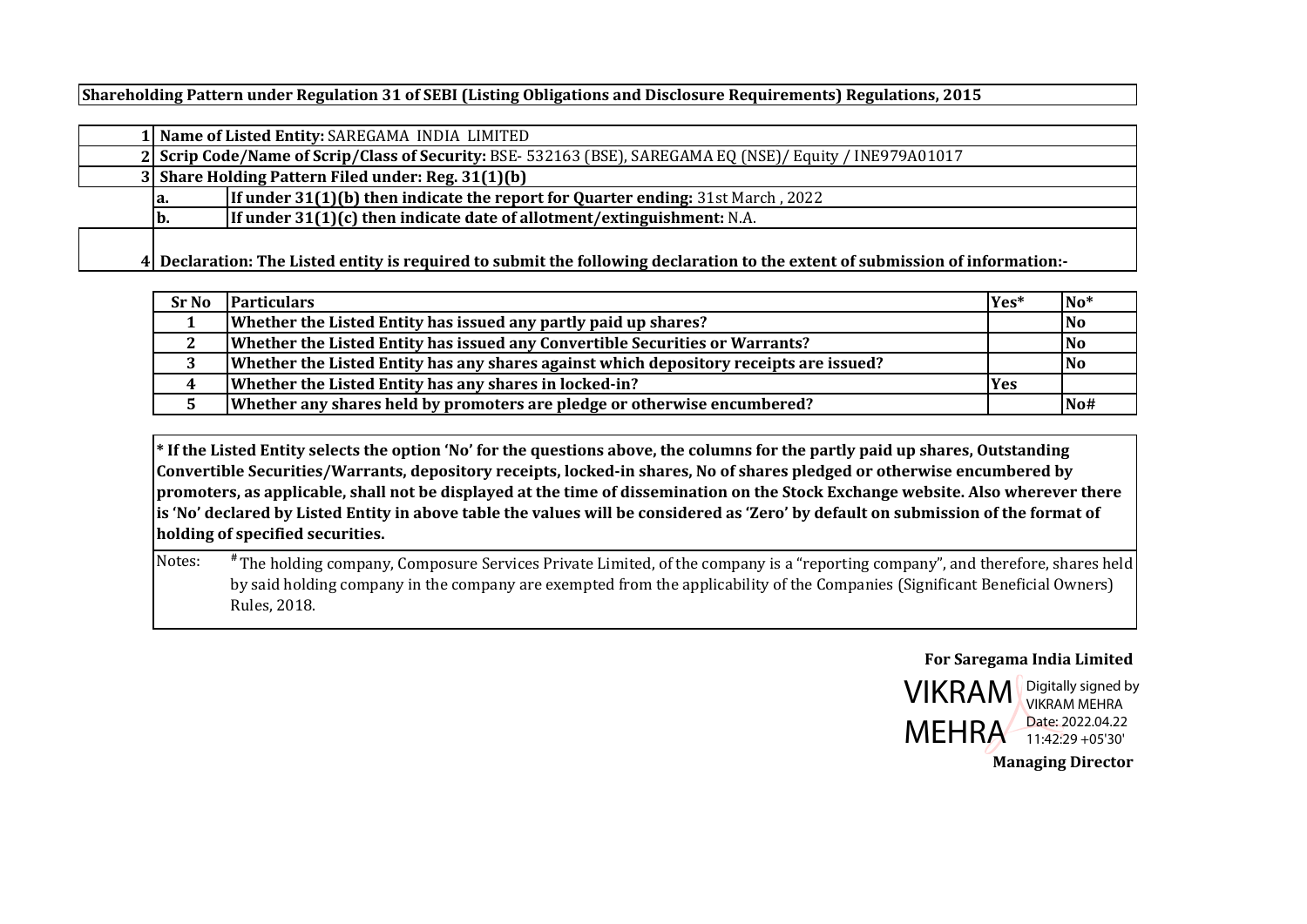**Shareholding Pattern under Regulation 31 of SEBI (Listing Obligations and Disclosure Requirements) Regulations, 2015**

|     | 1 Name of Listed Entity: SAREGAMA INDIA LIMITED                                                                               |
|-----|-------------------------------------------------------------------------------------------------------------------------------|
|     | 2 Scrip Code/Name of Scrip/Class of Security: BSE-532163 (BSE), SAREGAMA EQ (NSE)/ Equity / INE979A01017                      |
|     | 3 Share Holding Pattern Filed under: Reg. 31(1)(b)                                                                            |
| la. | <b>If under 31(1)(b) then indicate the report for Quarter ending: 31st March, 2022</b>                                        |
| b.  | If under $31(1)(c)$ then indicate date of allotment/extinguishment: N.A.                                                      |
|     | 4 Declaration: The Listed entity is required to submit the following declaration to the extent of submission of information:- |

| <b>Sr No</b> | <b>Particulars</b>                                                                     | Yes*       | $No*$          |
|--------------|----------------------------------------------------------------------------------------|------------|----------------|
|              | Whether the Listed Entity has issued any partly paid up shares?                        |            | N <sub>0</sub> |
| <u>L</u>     | Whether the Listed Entity has issued any Convertible Securities or Warrants?           |            | lNo            |
| J            | Whether the Listed Entity has any shares against which depository receipts are issued? |            | <b>No</b>      |
| 4            | Whether the Listed Entity has any shares in locked-in?                                 | <b>Yes</b> |                |
|              | Whether any shares held by promoters are pledge or otherwise encumbered?               |            | No#            |

\* If the Listed Entity selects the option 'No' for the questions above, the columns for the partly paid up shares, Outstanding Convertible Securities/Warrants, depository receipts, locked-in shares, No of shares pledged or otherwise encumbered by promoters, as applicable, shall not be displayed at the time of dissemination on the Stock Exchange website. Also wherever there is 'No' declared by Listed Entity in above table the values will be considered as 'Zero' by default on submission of the format of **holding of specified securities.**

Notes: **#** The holding company, Composure Services Private Limited, of the company is a "reporting company", and therefore, shares held by said holding company in the company are exempted from the applicability of the Companies (Significant Beneficial Owners) Rules, 2018.

## **For Saregama India Limited**



Digitally signed by VIKRAM MEHRA Date: 2022.04.22

**Managing Director**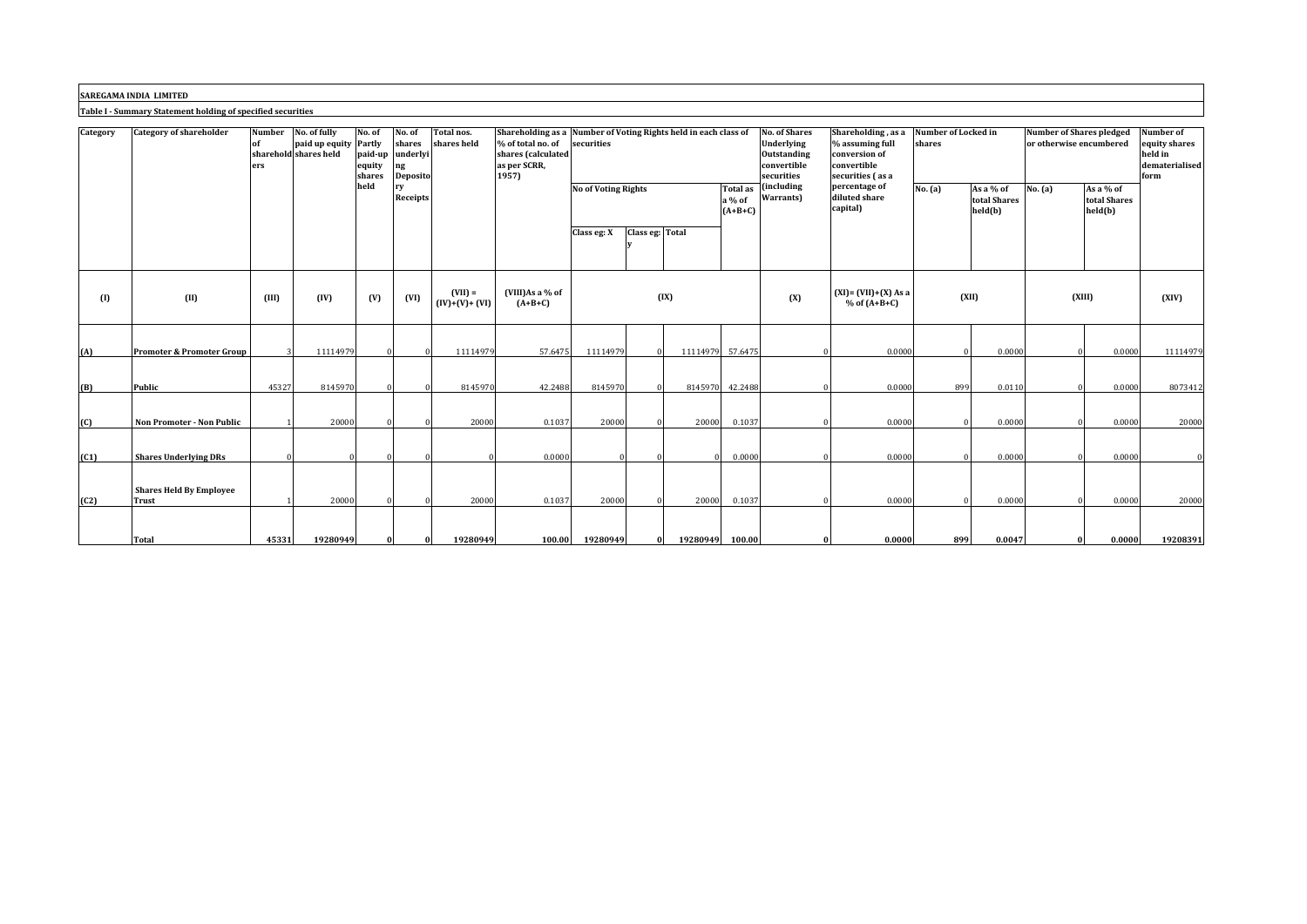**SAREGAMA INDIA LIMITED**

**Table I ‐ Summary Statement holding of specified securities**

| Category | <b>Category of shareholder</b>          | <b>Number</b><br>of<br>ers | No. of fully<br>paid up equity Partly<br>sharehold shares held | No. of<br>paid-up<br>equity<br>shares | No. of<br>shares<br>underlyi<br>ng<br><b>Deposito</b> | Total nos.<br>shares held    | % of total no. of<br>shares (calculated<br>as per SCRR,<br>1957) | Shareholding as a Number of Voting Rights held in each class of<br>securities |                                               | <b>No. of Shares</b><br>Shareholding, as a<br>Underlying<br>% assuming full<br><b>Outstanding</b><br>conversion of<br>convertible<br>convertible<br>securities<br>securities (as a |                                 | Number of Locked in<br>shares |                                                       | <b>Number of Shares pledged</b><br>or otherwise encumbered | Number of<br>equity shares<br>held in<br>dematerialised<br>form |          |                                        |          |
|----------|-----------------------------------------|----------------------------|----------------------------------------------------------------|---------------------------------------|-------------------------------------------------------|------------------------------|------------------------------------------------------------------|-------------------------------------------------------------------------------|-----------------------------------------------|------------------------------------------------------------------------------------------------------------------------------------------------------------------------------------|---------------------------------|-------------------------------|-------------------------------------------------------|------------------------------------------------------------|-----------------------------------------------------------------|----------|----------------------------------------|----------|
|          |                                         |                            |                                                                | held                                  | rv<br>Receipts                                        |                              |                                                                  |                                                                               | <b>No of Voting Rights</b><br>Class eg: Total |                                                                                                                                                                                    | Total as<br>a % of<br>$(A+B+C)$ | (including<br>Warrants)       | percentage of<br>No. (a)<br>diluted share<br>capital) |                                                            | As a % of<br>total Shares<br>held(b)                            | No. (a)  | As a $%$ of<br>total Shares<br>held(b) |          |
|          |                                         |                            |                                                                |                                       |                                                       |                              |                                                                  | Class eg: X                                                                   |                                               |                                                                                                                                                                                    |                                 |                               |                                                       |                                                            |                                                                 |          |                                        |          |
| (1)      | (II)                                    | (III)                      | (IV)                                                           | (V)                                   | (VI)                                                  | $(VII) =$<br>$(IV)+(V)+(VI)$ | (VIII)As a % of<br>$(A+B+C)$                                     |                                                                               | (IX)                                          |                                                                                                                                                                                    |                                 | (X)                           | $(XI) = (VII)+(X) As a$<br>$%$ of $(A+B+C)$           | (XII)                                                      |                                                                 | (XIII)   |                                        | (XIV)    |
| (A)      | <b>Promoter &amp; Promoter Group</b>    |                            | 11114979                                                       |                                       |                                                       | 11114979                     | 57.6475                                                          | 1111497                                                                       |                                               | 11114979                                                                                                                                                                           | 57.6475                         |                               | 0.0000                                                |                                                            | 0.0000                                                          |          | 0.0000                                 | 11114979 |
| (B)      | Public                                  | 45327                      | 8145970                                                        |                                       |                                                       | 8145970                      | 42.2488                                                          | 8145970                                                                       |                                               | 8145970                                                                                                                                                                            | 42.2488                         |                               | 0.0000                                                | 899                                                        | 0.0110                                                          |          | 0.0000                                 | 8073412  |
| (C)      | Non Promoter - Non Public               |                            | 20000                                                          |                                       |                                                       | 20000                        | 0.1037                                                           | 20000                                                                         |                                               | 20000                                                                                                                                                                              | 0.1037                          |                               | 0.0000                                                |                                                            | 0.0000                                                          |          | 0.0000                                 | 20000    |
| (C1)     | <b>Shares Underlying DRs</b>            |                            | $\Omega$                                                       |                                       |                                                       |                              | 0.0000                                                           |                                                                               |                                               |                                                                                                                                                                                    | 0.0000                          |                               | 0.0000                                                |                                                            | 0.0000                                                          |          | 0.0000                                 |          |
| (C2)     | <b>Shares Held By Employee</b><br>Trust |                            | 20000                                                          |                                       |                                                       | 20000                        | 0.1037                                                           | 20000                                                                         |                                               | 20000                                                                                                                                                                              | 0.1037                          |                               | 0.0000                                                |                                                            | 0.0000                                                          |          | 0.0000                                 | 20000    |
|          | <b>Total</b>                            | 45331                      | 19280949                                                       |                                       |                                                       | 19280949                     | 100.00                                                           | 19280949                                                                      | $\Omega$                                      | 19280949                                                                                                                                                                           | 100.00                          |                               | 0.0000                                                | 899                                                        | 0.0047                                                          | $\bf{0}$ | 0.0000                                 | 19208391 |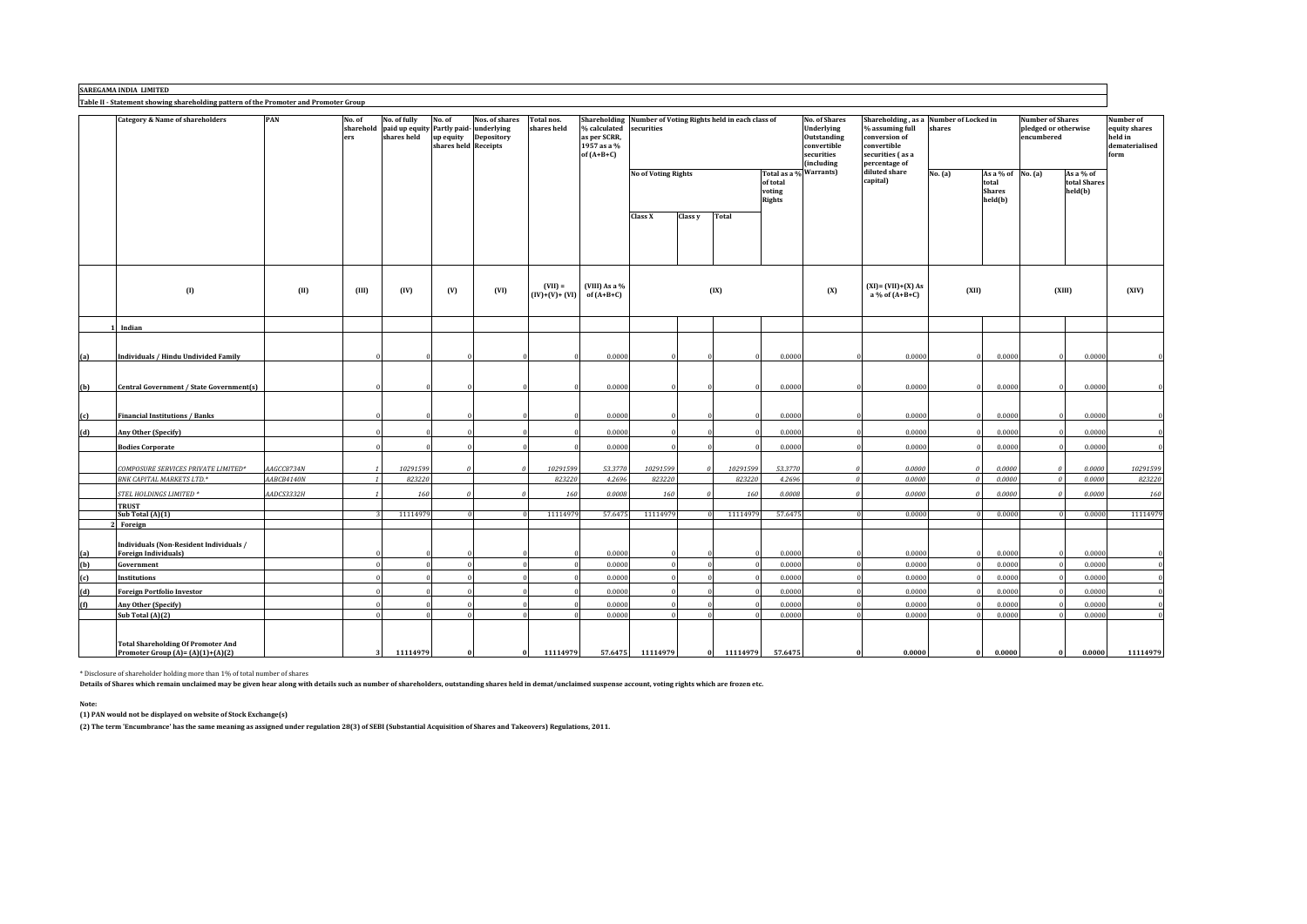## **SAREGAMA INDIA LIMITED**

**Table II ‐ Statement showing shareholding pattern of the Promoter and Promoter Group**

|     | <b>Category &amp; Name of shareholders</b>                                      | PAN        | No. of<br>sharehold<br>ers | No. of fully<br>paid up equity Partly paid-<br>shares held | No. of<br>up equity<br>shares held Receipts | Nos. of shares<br>underlying<br><b>Depository</b> | Total nos.<br>shares held | % calculated<br>as per SCRR,<br>1957 as a %<br>of $(A+B+C)$ | Shareholding Number of Voting Rights held in each class of<br>securities |                |          |                                                               | <b>No. of Shares</b><br>Underlying<br>Outstanding<br>convertible<br>securities<br>(including | % assuming full<br>conversion of<br>convertible<br>securities (as a<br>percentage of | Shareholding, as a Number of Locked in<br>shares |                                                          | <b>Number of Shares</b><br>pledged or otherwise<br>encumbered |                                      | Number of<br>equity shares<br>held in<br>dematerialised<br>form |
|-----|---------------------------------------------------------------------------------|------------|----------------------------|------------------------------------------------------------|---------------------------------------------|---------------------------------------------------|---------------------------|-------------------------------------------------------------|--------------------------------------------------------------------------|----------------|----------|---------------------------------------------------------------|----------------------------------------------------------------------------------------------|--------------------------------------------------------------------------------------|--------------------------------------------------|----------------------------------------------------------|---------------------------------------------------------------|--------------------------------------|-----------------------------------------------------------------|
|     |                                                                                 |            |                            |                                                            |                                             |                                                   |                           |                                                             | <b>No of Voting Rights</b>                                               |                |          | Total as a % Warrants)<br>of total<br>voting<br><b>Rights</b> |                                                                                              | diluted share<br>capital)                                                            | No. (a)                                          | As a % of $No. (a)$<br>total<br><b>Shares</b><br>held(b) |                                                               | As a % of<br>total Shares<br>held(b) |                                                                 |
|     |                                                                                 |            |                            |                                                            |                                             |                                                   |                           |                                                             | Class X                                                                  | Class y        | Total    |                                                               |                                                                                              |                                                                                      |                                                  |                                                          |                                                               |                                      |                                                                 |
|     | $\left( 0 \right)$                                                              | (II)       | (III)                      | (IV)                                                       | (V)                                         | (VI)                                              | $(VII) =$                 | (VIII) As a %<br>$(IV)+(V)+(VI)$ of $(A+B+C)$               |                                                                          |                | (IX)     |                                                               | (X)                                                                                          | $(XI) = (VII) + (X) As$<br>a % of (A+B+C)                                            | (XII)                                            |                                                          |                                                               | (XIII)                               | (XIV)                                                           |
|     | Indian                                                                          |            |                            |                                                            |                                             |                                                   |                           |                                                             |                                                                          |                |          |                                                               |                                                                                              |                                                                                      |                                                  |                                                          |                                                               |                                      |                                                                 |
| (a) | Individuals / Hindu Undivided Family                                            |            |                            |                                                            |                                             |                                                   |                           | 0.0000                                                      |                                                                          |                |          | 0.0000                                                        |                                                                                              | 0.0000                                                                               | $\Omega$                                         | 0.0000                                                   |                                                               | 0.0000                               |                                                                 |
| (b) | Central Government / State Government(s)                                        |            |                            |                                                            |                                             |                                                   |                           | 0.0000                                                      |                                                                          |                |          | 0.0000                                                        |                                                                                              | 0.0000                                                                               | $\Omega$                                         | 0.0000                                                   |                                                               | 0.0000                               | $\theta$                                                        |
| (c) | <b>Financial Institutions / Banks</b>                                           |            |                            |                                                            |                                             |                                                   |                           | 0.0000                                                      |                                                                          |                |          | 0.0000                                                        |                                                                                              | 0.0000                                                                               |                                                  | 0.0000                                                   |                                                               | 0.0000                               |                                                                 |
| (d) | Any Other (Specify)                                                             |            |                            |                                                            |                                             |                                                   |                           | 0.0000                                                      |                                                                          |                |          | 0.0000                                                        |                                                                                              | 0.0000                                                                               | $\Omega$                                         | 0.0000                                                   |                                                               | 0.0000                               | $\theta$                                                        |
|     | <b>Bodies Corporate</b>                                                         |            |                            |                                                            |                                             |                                                   |                           | 0.0000                                                      |                                                                          |                |          | 0.0000                                                        |                                                                                              | 0.0000                                                                               |                                                  | 0.0000                                                   |                                                               | 0.0000                               | $\mathbf{0}$                                                    |
|     | COMPOSURE SERVICES PRIVATE LIMITED*                                             | AAGCC8734N | $\mathbf{1}$               | 10291599                                                   |                                             |                                                   | 10291599                  | 53.3770                                                     | 10291599                                                                 | $\theta$       | 10291599 | 53.3770                                                       |                                                                                              | 0.0000                                                                               | $\theta$                                         | 0.0000                                                   | $\epsilon$                                                    | 0.0000                               | 10291599                                                        |
|     | BNK CAPITAL MARKETS LTD.*                                                       | AABCB4140N |                            | 823220                                                     |                                             |                                                   | 823220                    | 4.2696                                                      | 823220                                                                   |                | 823220   | 4.2696                                                        |                                                                                              | 0.0000                                                                               | $\sqrt{a}$                                       | 0.0000                                                   |                                                               | 0.0000                               | 823220                                                          |
|     | STEL HOLDINGS LIMITED *                                                         | AADCS3332H |                            | 160                                                        |                                             |                                                   | 160                       | 0.0008                                                      | 160                                                                      | $\theta$       | 160      | 0.0008                                                        |                                                                                              | 0.0000                                                                               | $\theta$                                         | 0.0000                                                   |                                                               | 0.0000                               | 160                                                             |
|     | <b>TRUST</b><br>Sub Total (A)(1)<br>2 Foreign                                   |            | $\mathcal{R}$              | 11114979                                                   |                                             |                                                   | 11114979                  | 57.6475                                                     | 11114979                                                                 | $\theta$       | 11114979 | 57.6475                                                       |                                                                                              | 0.0000<br>$\Omega$                                                                   |                                                  | 0.0000<br>$\Omega$                                       |                                                               | 0.0000                               | 11114979                                                        |
| (a) | Individuals (Non-Resident Individuals /<br><b>Foreign Individuals)</b>          |            |                            |                                                            |                                             |                                                   |                           | 0.0000                                                      |                                                                          |                |          | 0.0000                                                        |                                                                                              | 0.0000                                                                               |                                                  | 0.0000                                                   |                                                               | 0.0000                               | $\theta$                                                        |
| (b) | Government                                                                      |            |                            |                                                            |                                             |                                                   |                           | 0.0000                                                      | $\theta$                                                                 |                |          | 0.0000                                                        |                                                                                              | 0.0000                                                                               |                                                  | 0.0000                                                   |                                                               | 0.0000                               | $\mathbf 0$                                                     |
| (c) | <b>Institutions</b>                                                             |            |                            |                                                            |                                             |                                                   |                           | 0.0000                                                      |                                                                          |                |          | 0.0000                                                        |                                                                                              | 0.0000                                                                               |                                                  | 0.0000                                                   |                                                               | 0.0000                               | $\mathbf{0}$                                                    |
| (d) | <b>Foreign Portfolio Investor</b>                                               |            |                            |                                                            |                                             |                                                   |                           | 0.0000                                                      |                                                                          |                |          | 0.0000                                                        |                                                                                              | 0.0000                                                                               |                                                  | 0.0000                                                   |                                                               | 0.0000                               | $\mathbf{0}$                                                    |
| (f) | Any Other (Specify)                                                             |            | $\Omega$                   |                                                            |                                             |                                                   |                           | 0.0000                                                      | $\Omega$                                                                 |                |          | 0.0000                                                        |                                                                                              | 0.0000                                                                               |                                                  | 0.0000                                                   |                                                               | 0.0000                               | $\mathbf 0$                                                     |
|     | Sub Total (A)(2)                                                                |            | $\sqrt{2}$                 |                                                            |                                             |                                                   |                           | 0.0000                                                      | $\theta$                                                                 |                |          | 0.0000                                                        |                                                                                              | 0.0000                                                                               |                                                  | 0.0000                                                   |                                                               | 0.0000                               | $\theta$                                                        |
|     | <b>Total Shareholding Of Promoter And</b><br>Promoter Group $(A)=(A)(1)+(A)(2)$ |            | 3                          | 11114979                                                   |                                             |                                                   | 11114979                  | 57.6475                                                     | 11114979                                                                 | 0 <sup>1</sup> | 11114979 | 57.6475                                                       |                                                                                              | 0.0000                                                                               | $\bf{0}$                                         | 0.0000                                                   |                                                               | 0.0000                               | 11114979                                                        |

\* Disclosure of shareholder holding more than 1% of total number of shares

Details of Shares which remain unclaimed may be given hear along with details such as number of shareholders, outstanding shares held in demat/unclaimed suspense account, voting rights which are frozen etc.

**Note:**

**(1) PAN would not be displayed on website of Stock Exchange(s)**

(2) The term 'Encumbrance' has the same meaning as assigned under regulation 28(3) of SEBI (Substantial Acquisition of Shares and Takeovers) Regulations, 2011.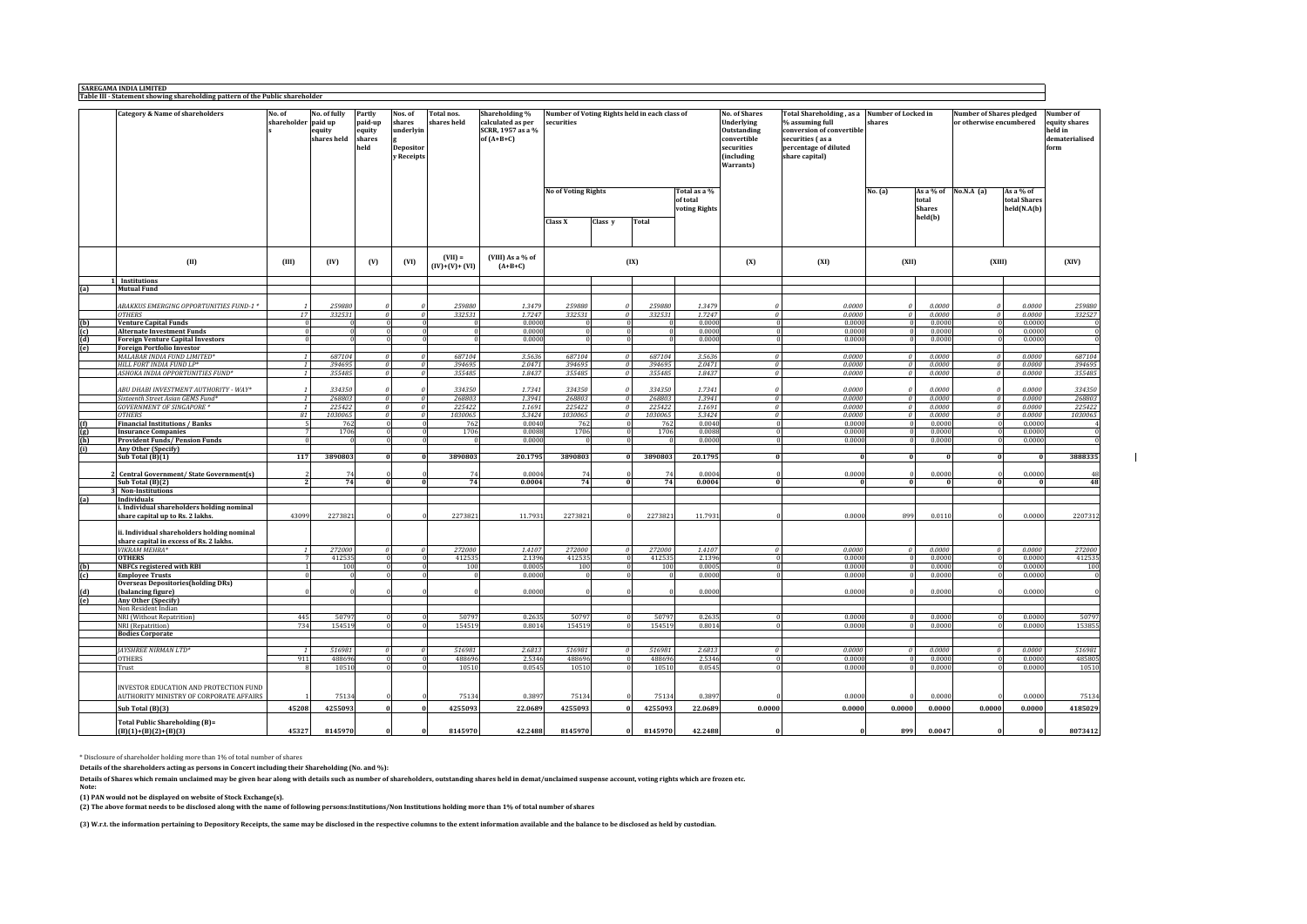|     | <b>Category &amp; Name of shareholders</b>                                     | No. of<br>shareholder paid up | No. of fully<br>equity<br>shares held | Partly<br>paid-up<br>equity<br>shares<br>held | Nos. of<br>shares<br>underlyin<br><b>Depositor</b><br>y Receipts | Total nos.<br>shares held    | Shareholding %<br>calculated as per<br>SCRR, 1957 as a %<br>of $(A+B+C)$ | Number of Voting Rights held in each class of<br>securities |                      |                   |                                           | <b>No. of Shares</b><br>Underlying<br>Outstanding<br>convertible<br>securities<br>(including<br>Warrants) | Total Shareholding, as a Number of Locked in<br>% assuming full<br>conversion of convertible<br>securities (as a<br>percentage of diluted<br>share capital) | shares                    |                        | <b>Number of Shares pledged</b><br>or otherwise encumbered |                                          | Number of<br>equity shares<br>held in<br>dematerialised<br>form |
|-----|--------------------------------------------------------------------------------|-------------------------------|---------------------------------------|-----------------------------------------------|------------------------------------------------------------------|------------------------------|--------------------------------------------------------------------------|-------------------------------------------------------------|----------------------|-------------------|-------------------------------------------|-----------------------------------------------------------------------------------------------------------|-------------------------------------------------------------------------------------------------------------------------------------------------------------|---------------------------|------------------------|------------------------------------------------------------|------------------------------------------|-----------------------------------------------------------------|
|     |                                                                                |                               |                                       |                                               |                                                                  |                              |                                                                          | <b>No of Voting Rights</b>                                  |                      |                   | Total as a %<br>of total<br>voting Rights |                                                                                                           |                                                                                                                                                             | No. (a)                   | total<br><b>Shares</b> | As a % of No.N.A $(a)$                                     | As a % of<br>total Shares<br>held(N.A(b) |                                                                 |
|     |                                                                                |                               |                                       |                                               |                                                                  |                              |                                                                          | Class X                                                     | Class y              | <b>Total</b>      |                                           |                                                                                                           |                                                                                                                                                             |                           | held(b)                |                                                            |                                          |                                                                 |
|     | (II)                                                                           | (III)                         | (IV)                                  | (V)                                           | (VI)                                                             | $(VII) =$<br>$(IV)+(V)+(VI)$ | (VIII) As a % of<br>$(A+B+C)$                                            |                                                             |                      | (IX)              |                                           | (X)                                                                                                       | (XI)                                                                                                                                                        | (XII)                     |                        | (XIII)                                                     |                                          | (XIV)                                                           |
| (a) | 1 Institutions                                                                 |                               |                                       |                                               |                                                                  |                              |                                                                          |                                                             |                      |                   |                                           |                                                                                                           |                                                                                                                                                             |                           |                        |                                                            |                                          |                                                                 |
|     | <b>Mutual Fund</b>                                                             |                               |                                       |                                               |                                                                  |                              |                                                                          |                                                             |                      |                   |                                           |                                                                                                           |                                                                                                                                                             |                           |                        |                                                            |                                          |                                                                 |
|     | BAKKUS EMERGING OPPORTUNITIES FUND-1 *                                         |                               | 259880                                |                                               |                                                                  | 259880                       | 1.3479                                                                   | 259880                                                      |                      | 259880            | 1.3479                                    |                                                                                                           | 0.0000                                                                                                                                                      |                           | 0.0000                 |                                                            | 0.0000                                   | 259880                                                          |
|     | <b>OTHERS</b>                                                                  | 17                            | 332531                                |                                               | $\boldsymbol{\theta}$<br>$\theta$                                | 332531                       | 1.7247                                                                   | 332531                                                      |                      | 332531            | 1.7247                                    |                                                                                                           | 0.0000                                                                                                                                                      | $\theta$                  | 0.0000                 |                                                            | 0.0000                                   | 332527                                                          |
|     | <b>Venture Capital Funds</b>                                                   |                               |                                       |                                               |                                                                  |                              | 0.0000                                                                   |                                                             |                      |                   | 0.0000                                    |                                                                                                           | 0.0000                                                                                                                                                      | $\theta$                  | 0.0000                 |                                                            | 0.0000                                   |                                                                 |
|     | <b>Alternate Investment Funds</b>                                              |                               | $\Omega$                              |                                               | $\Omega$<br>$\Omega$                                             | $\bf{0}$                     | 0.0000                                                                   |                                                             |                      |                   | 0.0000                                    |                                                                                                           | 0.0000<br>$\Omega$                                                                                                                                          | $\Omega$                  | 0.0000                 |                                                            | $\Omega$<br>0.0000                       | $\overline{0}$                                                  |
|     | <b>Foreign Venture Capital Investors</b><br><b>Foreign Portfolio Investor</b>  |                               |                                       |                                               | $\overline{0}$                                                   | $\theta$                     | 0.000(                                                                   |                                                             |                      |                   | 0.0000                                    |                                                                                                           | 0.0000<br>$\Omega$                                                                                                                                          | $\Omega$                  | 0.0000                 |                                                            | 0.0000<br>$\Omega$                       | $\theta$                                                        |
|     | MALABAR INDIA FUND LIMITED*                                                    |                               | 687104                                | $\theta$                                      | $\mathfrak{o}$                                                   | 687104                       | 3.5636                                                                   | 687104                                                      | $\theta$             | 687104            | 3.5636                                    | $\theta$                                                                                                  | 0.0000                                                                                                                                                      | $\theta$                  | 0.0000                 | $\mathfrak{o}$                                             | 0.0000                                   | 687104                                                          |
|     | HILL FORT INDIA FUND LP*                                                       |                               | 394695                                | $\boldsymbol{\theta}$                         | $\mathfrak{o}$                                                   | 394695                       | 2.0471                                                                   | 394695                                                      | $\theta$             | 394695            | 2.0471                                    | $\theta$                                                                                                  | 0.0000                                                                                                                                                      | $\theta$                  | 0.0000                 |                                                            | $\theta$<br>0.0000                       | 394695                                                          |
|     | ASHOKA INDIA OPPORTUNITIES FUND*                                               |                               | 355485                                |                                               | $\boldsymbol{\theta}$<br>$\theta$                                | 355485                       | 1.8437                                                                   | 355485                                                      |                      | 355485            | 1.8437                                    | $\theta$                                                                                                  | 0.0000                                                                                                                                                      | $\boldsymbol{\theta}$     | 0.0000                 |                                                            | 0.0000<br>$\theta$                       | 355485                                                          |
|     | ABU DHABI INVESTMENT AUTHORITY - WAY*                                          |                               | 334350                                | $\theta$                                      |                                                                  | 334350                       | 1.7341                                                                   | 334350                                                      |                      | 334350            | 1.7341                                    |                                                                                                           | 0.0000                                                                                                                                                      |                           | 0.0000                 |                                                            | 0.0000                                   | 334350                                                          |
|     | Sixteenth Street Asian GEMS Fund*                                              |                               | 268803                                |                                               | $\boldsymbol{\theta}$<br>$\boldsymbol{\mathit{o}}$               | 268803                       | 1.3941                                                                   | 268803                                                      | $\theta$             | 268803            | 1.3941                                    | $\theta$                                                                                                  | 0.0000                                                                                                                                                      | $\theta$                  | 0.0000                 |                                                            | $\theta$<br>0.0000                       | 268803<br>225422                                                |
|     | <b>GOVERNMENT OF SINGAPORE *</b><br><b>OTHERS</b>                              | 81                            | 225422<br>1030065                     | $\mathcal O$                                  | $\theta$<br>$\overline{0}$<br>$\mathfrak{o}$                     | 225422<br>1030065            | 1.1691<br>5.3424                                                         | 225422<br>1030065                                           | $\theta$<br>$\theta$ | 225422<br>1030065 | 1.1691<br>5.3424                          | $\boldsymbol{\mathit{o}}$<br>$\overline{\theta}$                                                          | 0.0000<br>0.0000                                                                                                                                            | $\mathcal{O}$<br>$\theta$ | 0.0000<br>0.0000       |                                                            | 0.0000<br>$\theta$<br>0.0000<br>$\theta$ | 1030065                                                         |
|     | <b>Financial Institutions / Banks</b>                                          |                               | 762                                   |                                               | $\Omega$                                                         | 762                          | 0.004                                                                    | 762                                                         |                      | 762               | 0.0040                                    |                                                                                                           | 0.0001<br>$\Omega$                                                                                                                                          | $\theta$                  | 0.0000                 |                                                            | 0.0000<br>$\Omega$                       |                                                                 |
|     | <b>Insurance Companies</b>                                                     |                               | 1706                                  |                                               | $\Omega$                                                         | 1706                         | 0.0088                                                                   | 1706                                                        |                      | 1706              | 0.0088                                    |                                                                                                           | 0.0000<br>$\Omega$                                                                                                                                          | $\bf{0}$                  | 0.0000                 |                                                            | 0.0000<br>$\Omega$                       | $\theta$                                                        |
|     | <b>Provident Funds/ Pension Funds</b>                                          |                               |                                       |                                               |                                                                  | $\sqrt{ }$                   | 0.000                                                                    |                                                             |                      |                   | 0.0000                                    |                                                                                                           | 0.0001                                                                                                                                                      | $\mathbf{0}$              | 0.0000                 |                                                            | 0.0000<br>$\Omega$                       | $\overline{0}$                                                  |
|     | Any Other (Specify)                                                            |                               |                                       |                                               |                                                                  |                              |                                                                          |                                                             |                      |                   |                                           |                                                                                                           |                                                                                                                                                             |                           |                        |                                                            |                                          |                                                                 |
|     | Sub Total (B)(1)                                                               | 117                           | 3890803                               |                                               | $\mathbf{0}$<br>$\bf{0}$                                         | 3890803                      | 20.1795                                                                  | 3890803                                                     |                      | 3890803           | 20.1795                                   | $\Omega$                                                                                                  | $\Omega$                                                                                                                                                    | $\bf{0}$                  |                        |                                                            | $\bf{0}$<br>$\bf{0}$                     | 3888335                                                         |
|     | Central Government/ State Government(s)                                        |                               | 74                                    |                                               |                                                                  | 74                           | 0.000                                                                    | 74                                                          |                      | 7 <sub>1</sub>    | 0.0004                                    |                                                                                                           | 0.0001                                                                                                                                                      |                           | 0.0000                 |                                                            | 0.0000                                   | 48                                                              |
|     | Sub Total (B)(2)                                                               | $\overline{2}$                | 74                                    |                                               | $\mathbf{0}$<br>$\bf{0}$                                         | 74                           | 0.0004                                                                   | 74                                                          |                      | 74                | 0.0004                                    | $\Omega$                                                                                                  |                                                                                                                                                             | $\mathbf{0}$              |                        |                                                            | $\Omega$<br>$\Omega$                     | 48                                                              |
|     | 3 Non-Institutions                                                             |                               |                                       |                                               |                                                                  |                              |                                                                          |                                                             |                      |                   |                                           |                                                                                                           |                                                                                                                                                             |                           |                        |                                                            |                                          |                                                                 |
| (a) | Individuals                                                                    |                               |                                       |                                               |                                                                  |                              |                                                                          |                                                             |                      |                   |                                           |                                                                                                           |                                                                                                                                                             |                           |                        |                                                            |                                          |                                                                 |
|     | i. Individual shareholders holding nominal<br>share capital up to Rs. 2 lakhs. | 43099                         | 2273821                               |                                               |                                                                  | 2273821                      | 11.7931                                                                  | 2273821                                                     |                      | 2273821           | 11.7931                                   |                                                                                                           | 0.0000                                                                                                                                                      | 899                       | 0.0110                 |                                                            | 0.0000                                   | 2207312                                                         |
|     | ii. Individual shareholders holding nominal                                    |                               |                                       |                                               |                                                                  |                              |                                                                          |                                                             |                      |                   |                                           |                                                                                                           |                                                                                                                                                             |                           |                        |                                                            |                                          |                                                                 |
|     | share capital in excess of Rs. 2 lakhs.                                        |                               |                                       |                                               |                                                                  |                              |                                                                          |                                                             |                      |                   |                                           |                                                                                                           |                                                                                                                                                             |                           |                        |                                                            |                                          |                                                                 |
|     | VIKRAM MEHRA*                                                                  | $\overline{1}$                | 272000                                |                                               | $\theta$<br>$\boldsymbol{\theta}$                                | 272000                       | 1.4107                                                                   | 272000                                                      | - 0                  | 272000            | 1.4107                                    | $\theta$                                                                                                  | 0.0000                                                                                                                                                      | $\theta$                  | 0.0000                 | $\theta$                                                   | 0.0000                                   | 272000                                                          |
|     | <b>OTHERS</b>                                                                  |                               | 412535                                |                                               | $\Omega$<br>$\mathbf{0}$                                         | 412535                       | 2.1396                                                                   | 412535                                                      |                      | 412535            | 2.1396                                    |                                                                                                           | 0.0000<br>$\bf{0}$                                                                                                                                          | $\bf{0}$                  | 0.0000                 |                                                            | 0.0000<br>$\mathbf{0}$                   | 412535                                                          |
|     | <b>NBFCs registered with RBI</b><br><b>Employee Trusts</b>                     |                               | 100                                   |                                               | $\Omega$<br>$\Omega$                                             | 100<br>$\theta$              | 0.0005<br>0.000(                                                         | 100                                                         |                      | 100               | 0.0005<br>0.0000                          |                                                                                                           | 0.0000<br>$\Omega$<br>0.0000                                                                                                                                | $\Omega$<br>$\sqrt{2}$    | 0.0000<br>0.0000       |                                                            | 0.0000<br>$\Omega$<br>0.0000<br>$\Omega$ | 100<br>$\bf{0}$                                                 |
|     | <b>Overseas Depositories (holding DRs)</b>                                     |                               |                                       |                                               |                                                                  |                              |                                                                          |                                                             |                      |                   |                                           |                                                                                                           |                                                                                                                                                             |                           |                        |                                                            |                                          |                                                                 |
|     | (balancing figure)                                                             |                               |                                       |                                               |                                                                  |                              | 0.0000                                                                   |                                                             |                      |                   | 0.0000                                    |                                                                                                           | 0.0001                                                                                                                                                      |                           | 0.0000                 |                                                            | 0.0000                                   |                                                                 |
|     | Any Other (Specify)                                                            |                               |                                       |                                               |                                                                  |                              |                                                                          |                                                             |                      |                   |                                           |                                                                                                           |                                                                                                                                                             |                           |                        |                                                            |                                          |                                                                 |
|     | Non Resident Indian                                                            |                               |                                       |                                               |                                                                  |                              |                                                                          |                                                             |                      |                   |                                           |                                                                                                           |                                                                                                                                                             |                           |                        |                                                            |                                          |                                                                 |
|     | NRI (Without Repatrition)                                                      | 445<br>734                    | 50797<br>15451                        |                                               | $\sqrt{2}$                                                       | 50797<br>15451               | 0.263<br>0.8014                                                          | 50797<br>154519                                             |                      | 50797<br>15451    | 0.2635<br>0.8014                          |                                                                                                           | 0.0000<br>0.000                                                                                                                                             | $\Omega$<br>$\Omega$      | 0.0000<br>0.0000       |                                                            | 0.0000<br>0.0000<br>$\sqrt{2}$           | 50797<br>153855                                                 |
|     | NRI (Repatrition)<br><b>Bodies Corporate</b>                                   |                               |                                       |                                               |                                                                  |                              |                                                                          |                                                             |                      |                   |                                           |                                                                                                           |                                                                                                                                                             |                           |                        |                                                            |                                          |                                                                 |
|     |                                                                                |                               |                                       |                                               |                                                                  |                              |                                                                          |                                                             |                      |                   |                                           |                                                                                                           |                                                                                                                                                             |                           |                        |                                                            |                                          |                                                                 |
|     | JAYSHREE NIRMAN LTD*                                                           |                               | 516981                                |                                               | $\theta$<br>$\theta$                                             | 516981                       | 2.6813                                                                   | 516981                                                      |                      | 516981            | 2.6813                                    | $\theta$                                                                                                  | 0.0000                                                                                                                                                      | $\boldsymbol{o}$          | 0.0000                 |                                                            | 0.0000<br>$\theta$                       | 516981                                                          |
|     | <b>OTHERS</b>                                                                  | 911                           | 488696                                |                                               | $\overline{0}$                                                   | 488696                       | 2.534                                                                    | 488696                                                      |                      | 488696            | 2.5346                                    |                                                                                                           | 0.0000<br>$\Omega$                                                                                                                                          | $\overline{0}$            | 0.0000                 |                                                            | 0.0000<br>$\overline{0}$                 | 485805                                                          |
|     | Trust                                                                          |                               | 10510                                 |                                               | $\Omega$                                                         | 10510                        | 0.0545                                                                   | 10510                                                       |                      | 10510             | 0.0545                                    |                                                                                                           | 0.0000                                                                                                                                                      | $\mathbf{0}$              | 0.0000                 |                                                            | 0.0000<br>$\Omega$                       | 10510                                                           |
|     | INVESTOR EDUCATION AND PROTECTION FUND                                         |                               |                                       |                                               |                                                                  |                              |                                                                          |                                                             |                      |                   |                                           |                                                                                                           |                                                                                                                                                             |                           |                        |                                                            |                                          |                                                                 |
|     | AUTHORITY MINISTRY OF CORPORATE AFFAIRS                                        |                               | 75134                                 |                                               |                                                                  | 75134                        | 0.3897                                                                   | 75134                                                       |                      | 7513              | 0.3897                                    |                                                                                                           | 0.0001                                                                                                                                                      |                           | 0.0000                 |                                                            | 0.0000                                   | 75134                                                           |
|     | Sub Total (B)(3)                                                               | 45208                         | 4255093                               | $\mathbf{0}$                                  |                                                                  | 4255093                      | 22.0689                                                                  | 4255093                                                     |                      | 4255093           | 22.0689                                   | 0.0000                                                                                                    | 0.0000                                                                                                                                                      | 0.0000                    | 0.0000                 | 0.0000                                                     | 0.0000                                   | 4185029                                                         |
|     | <b>Total Public Shareholding (B)=</b><br>$(B)(1)+(B)(2)+(B)(3)$                | 45327                         | 8145970                               |                                               |                                                                  | 8145970                      | 42.2488                                                                  | 8145970                                                     |                      | 8145970           | 42.2488                                   |                                                                                                           | Ō                                                                                                                                                           | 899                       | 0.0047                 |                                                            | $\mathbf{0}$<br>$\mathbf{0}$             | 8073412                                                         |

\* Disclosure of shareholder holding more than 1% of total number of shares

**Details of the shareholders acting as persons in Concert including their Shareholding (No. and %):**

Details of Shares which remain unclaimed may be given hear along with details such as number of shareholders, outstanding shares held in demat/unclaimed suspense account, voting rights which are frozen etc.<br>Note:

(1) PAN would not be displayed on website of Stock Exchange(s).<br>(2) The above format needs to be disclosed along with the name of following persons:Institutions/Non Institutions holding more than 1% of total number of shar

(3) W.r.t. the information pertaining to Depository Receipts, the same may be disclosed in the respective columns to the extent information available and the balance to be disclosed as held by custodian.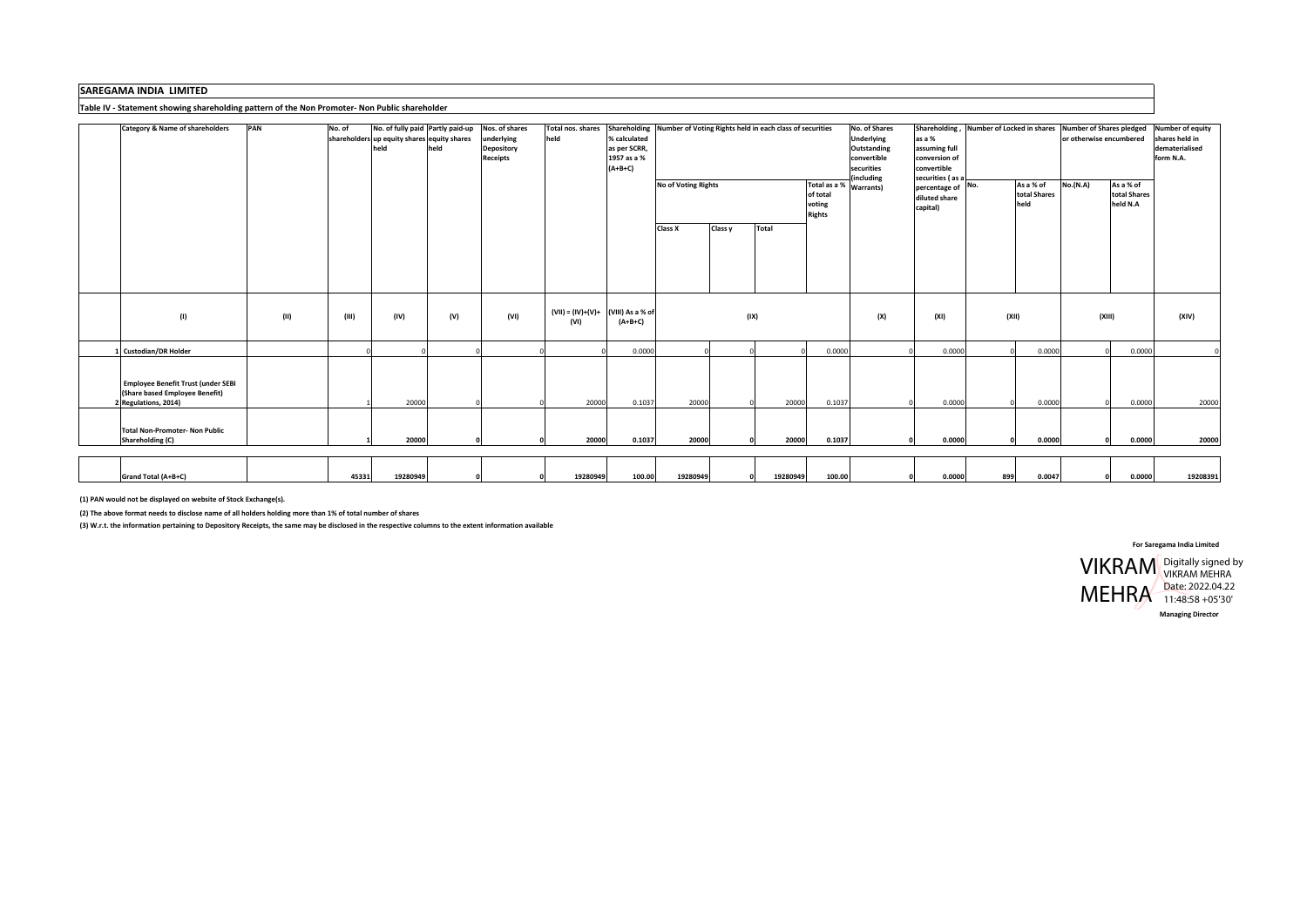## **SAREGAMA INDIA LIMITED**

## **Table IV ‐ Statement showing shareholding pattern of the Non Promoter‐ Non Public shareholder**

| <b>Category &amp; Name of shareholders</b> | PAN  | No. of | No. of fully paid Partly paid-up            |      | Nos. of shares    | Total nos. shares                      |              | Shareholding Number of Voting Rights held in each class of securities |         |          |                                    | No. of Shares     |                     | Shareholding, Number of Locked in shares Number of Shares pledged |        |                         |              | Number of equity |
|--------------------------------------------|------|--------|---------------------------------------------|------|-------------------|----------------------------------------|--------------|-----------------------------------------------------------------------|---------|----------|------------------------------------|-------------------|---------------------|-------------------------------------------------------------------|--------|-------------------------|--------------|------------------|
|                                            |      |        | shareholders up equity shares equity shares |      | underlying        | held                                   | % calculated |                                                                       |         |          |                                    | <b>Underlying</b> | as a %              |                                                                   |        | or otherwise encumbered |              | shares held in   |
|                                            |      |        | held                                        | held | <b>Depository</b> |                                        | as per SCRR, |                                                                       |         |          |                                    | Outstanding       | assuming full       |                                                                   |        |                         |              | dematerialised   |
|                                            |      |        |                                             |      | <b>Receipts</b>   |                                        | 1957 as a %  |                                                                       |         |          |                                    | convertible       | conversion of       |                                                                   |        |                         |              | form N.A.        |
|                                            |      |        |                                             |      |                   |                                        | $(A+B+C)$    |                                                                       |         |          |                                    | securities        | convertible         |                                                                   |        |                         |              |                  |
|                                            |      |        |                                             |      |                   |                                        |              |                                                                       |         |          |                                    | including         | securities (as a    | As a % of                                                         |        | <b>No.(N.A)</b>         | As a % of    |                  |
|                                            |      |        |                                             |      |                   |                                        |              | <b>No of Voting Rights</b>                                            |         |          | Total as a % Warrants)<br>of total |                   | $percentage of$ No. |                                                                   |        |                         | total Shares |                  |
|                                            |      |        |                                             |      |                   |                                        |              |                                                                       |         |          |                                    |                   | diluted share       | total Shares                                                      |        |                         | held N.A     |                  |
|                                            |      |        |                                             |      |                   |                                        |              |                                                                       |         |          | voting<br><b>Rights</b>            |                   | capital)            | held                                                              |        |                         |              |                  |
|                                            |      |        |                                             |      |                   |                                        |              |                                                                       |         |          |                                    |                   |                     |                                                                   |        |                         |              |                  |
|                                            |      |        |                                             |      |                   |                                        |              | Class X                                                               | Class y | Total    |                                    |                   |                     |                                                                   |        |                         |              |                  |
|                                            |      |        |                                             |      |                   |                                        |              |                                                                       |         |          |                                    |                   |                     |                                                                   |        |                         |              |                  |
|                                            |      |        |                                             |      |                   |                                        |              |                                                                       |         |          |                                    |                   |                     |                                                                   |        |                         |              |                  |
|                                            |      |        |                                             |      |                   |                                        |              |                                                                       |         |          |                                    |                   |                     |                                                                   |        |                         |              |                  |
|                                            |      |        |                                             |      |                   |                                        |              |                                                                       |         |          |                                    |                   |                     |                                                                   |        |                         |              |                  |
|                                            |      |        |                                             |      |                   |                                        |              |                                                                       |         |          |                                    |                   |                     |                                                                   |        |                         |              |                  |
|                                            |      |        |                                             |      |                   |                                        |              |                                                                       |         |          |                                    |                   |                     |                                                                   |        |                         |              |                  |
|                                            |      |        |                                             |      |                   |                                        |              |                                                                       |         |          |                                    |                   |                     |                                                                   |        |                         |              |                  |
|                                            |      |        |                                             |      | (VI)              | $(VII) = (IV)+(V)+$ $(VIII)$ As a % of |              |                                                                       |         |          |                                    |                   |                     | (XII)                                                             |        |                         |              |                  |
| (1)                                        | (II) | (III)  | (IV)                                        | (V)  |                   | (VI)                                   | $(A+B+C)$    |                                                                       |         | (IX)     |                                    | (X)               | (XI)                |                                                                   |        | (XIII)                  |              | (XIV)            |
|                                            |      |        |                                             |      |                   |                                        |              |                                                                       |         |          |                                    |                   |                     |                                                                   |        |                         |              |                  |
|                                            |      |        |                                             |      |                   |                                        |              |                                                                       |         |          |                                    |                   |                     |                                                                   |        |                         |              |                  |
| 1 Custodian/DR Holder                      |      |        |                                             |      |                   |                                        | 0.0000       |                                                                       |         |          | 0.0000                             |                   | 0.0000              |                                                                   | 0.0000 |                         | 0.0000       |                  |
|                                            |      |        |                                             |      |                   |                                        |              |                                                                       |         |          |                                    |                   |                     |                                                                   |        |                         |              |                  |
|                                            |      |        |                                             |      |                   |                                        |              |                                                                       |         |          |                                    |                   |                     |                                                                   |        |                         |              |                  |
| <b>Employee Benefit Trust (under SEBI</b>  |      |        |                                             |      |                   |                                        |              |                                                                       |         |          |                                    |                   |                     |                                                                   |        |                         |              |                  |
| (Share based Employee Benefit)             |      |        |                                             |      |                   |                                        |              |                                                                       |         |          |                                    |                   |                     |                                                                   |        |                         |              |                  |
| 2 Regulations, 2014)                       |      |        | 20000                                       |      |                   | 20000                                  | 0.1037       | 20000                                                                 |         | 20000    | 0.1037                             |                   | 0.0000              |                                                                   | 0.0000 |                         | 0.0000       | 20000            |
|                                            |      |        |                                             |      |                   |                                        |              |                                                                       |         |          |                                    |                   |                     |                                                                   |        |                         |              |                  |
| <b>Total Non-Promoter- Non Public</b>      |      |        |                                             |      |                   |                                        |              |                                                                       |         |          |                                    |                   |                     |                                                                   |        |                         |              |                  |
| <b>Shareholding (C)</b>                    |      |        | 20000                                       |      |                   | 20000                                  | 0.1037       | 20000                                                                 |         | 20000    | 0.1037                             |                   | 0.0000              | $\Omega$                                                          | 0.0000 |                         | 0.0000       | 20000            |
|                                            |      |        |                                             |      |                   |                                        |              |                                                                       |         |          |                                    |                   |                     |                                                                   |        |                         |              |                  |
|                                            |      |        |                                             |      |                   |                                        |              |                                                                       |         |          |                                    |                   |                     |                                                                   |        |                         |              |                  |
|                                            |      |        |                                             |      |                   |                                        |              |                                                                       |         |          |                                    |                   |                     |                                                                   |        |                         |              |                  |
| Grand Total (A+B+C)                        |      | 45331  | 19280949                                    |      |                   | 19280949                               | 100.00       | 19280949                                                              |         | 19280949 | 100.00                             |                   | 0.0000              | 899                                                               | 0.0047 |                         | 0.0000       | 19208391         |
|                                            |      |        |                                             |      |                   |                                        |              |                                                                       |         |          |                                    |                   |                     |                                                                   |        |                         |              |                  |

**(1) PAN would not be displayed on website of Stock Exchange(s).**

(2) The above format needs to disclose name of all holders holding more than 1% of total number of shares

(3) W.r.t. the information pertaining to Depository Receipts, the same may be disclosed in the respective columns to the extent information available